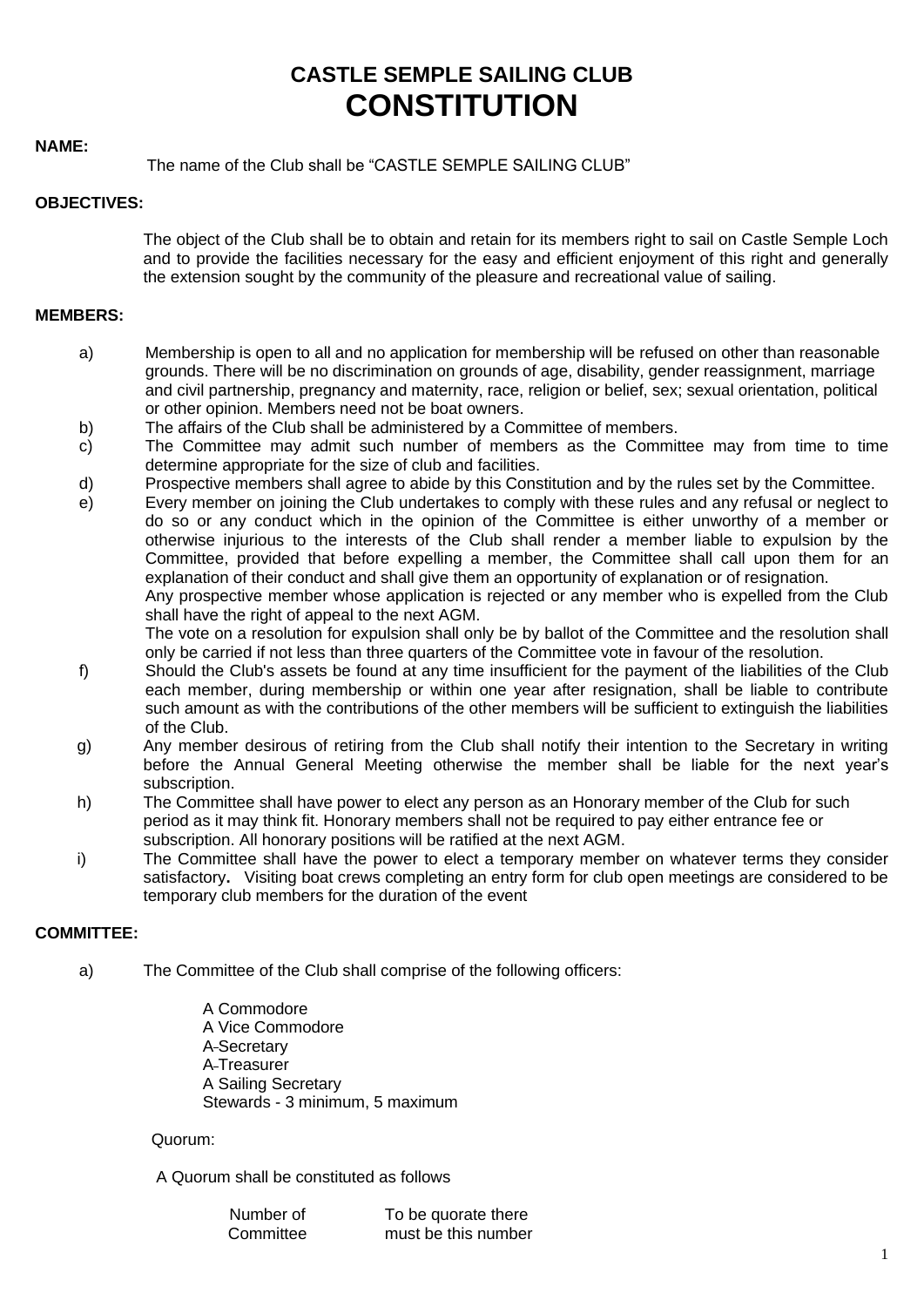# **CASTLE SEMPLE SAILING CLUB CONSTITUTION**

## **NAME:**

# The name of the Club shall be "CASTLE SEMPLE SAILING CLUB"

## **OBJECTIVES:**

The object of the Club shall be to obtain and retain for its members right to sail on Castle Semple Loch and to provide the facilities necessary for the easy and efficient enjoyment of this right and generally the extension sought by the community of the pleasure and recreational value of sailing.

# **MEMBERS:**

- a) Membership is open to all and no application for membership will be refused on other than reasonable grounds. There will be no discrimination on grounds of age, disability, gender reassignment, marriage and civil partnership, pregnancy and maternity, race, religion or belief, sex; sexual orientation, political or other opinion. Members need not be boat owners.
- b) The affairs of the Club shall be administered by a Committee of members.
- c) The Committee may admit such number of members as the Committee may from time to time determine appropriate for the size of club and facilities.
- d) Prospective members shall agree to abide by this Constitution and by the rules set by the Committee.
- e) Every member on joining the Club undertakes to comply with these rules and any refusal or neglect to do so or any conduct which in the opinion of the Committee is either unworthy of a member or otherwise injurious to the interests of the Club shall render a member liable to expulsion by the Committee, provided that before expelling a member, the Committee shall call upon them for an explanation of their conduct and shall give them an opportunity of explanation or of resignation. Any prospective member whose application is rejected or any member who is expelled from the Club shall have the right of appeal to the next AGM.

The vote on a resolution for expulsion shall only be by ballot of the Committee and the resolution shall only be carried if not less than three quarters of the Committee vote in favour of the resolution.

- f) Should the Club's assets be found at any time insufficient for the payment of the liabilities of the Club each member, during membership or within one year after resignation, shall be liable to contribute such amount as with the contributions of the other members will be sufficient to extinguish the liabilities of the Club.
- g) Any member desirous of retiring from the Club shall notify their intention to the Secretary in writing before the Annual General Meeting otherwise the member shall be liable for the next year's subscription.
- h) The Committee shall have power to elect any person as an Honorary member of the Club for such period as it may think fit. Honorary members shall not be required to pay either entrance fee or subscription. All honorary positions will be ratified at the next AGM.
- i) The Committee shall have the power to elect a temporary member on whatever terms they consider satisfactory**.** Visiting boat crews completing an entry form for club open meetings are considered to be temporary club members for the duration of the event

# **COMMITTEE:**

- a) The Committee of the Club shall comprise of the following officers:
	- A Commodore A Vice Commodore A Secretary A Treasurer A Sailing Secretary Stewards - 3 minimum, 5 maximum

# Quorum:

A Quorum shall be constituted as follows

| Number of | To be quorate there |
|-----------|---------------------|
| Committee | must be this number |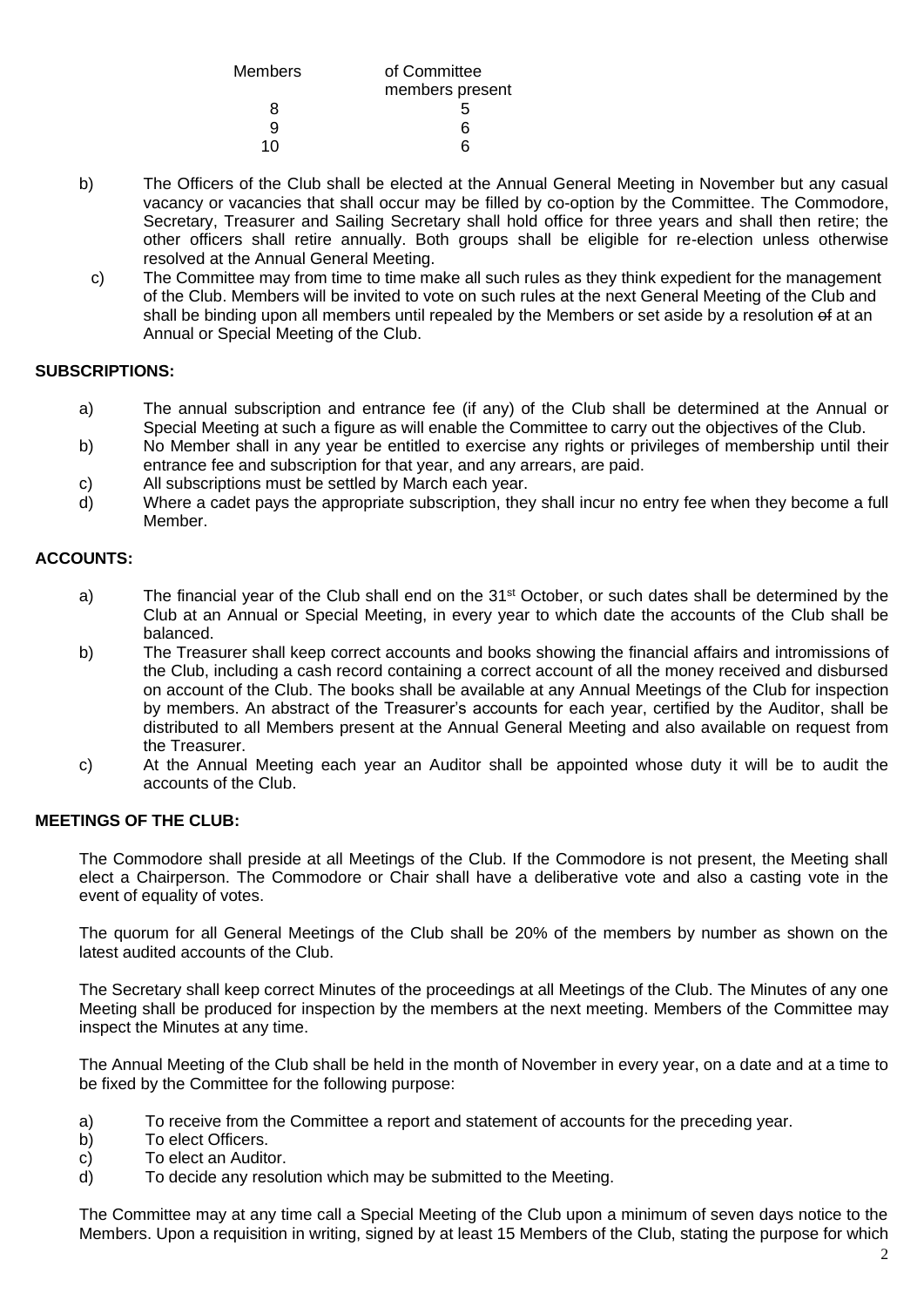| of Committee    |
|-----------------|
| members present |
| 5               |
| ิค              |
| ี่ค             |
|                 |

- b) The Officers of the Club shall be elected at the Annual General Meeting in November but any casual vacancy or vacancies that shall occur may be filled by co-option by the Committee. The Commodore, Secretary, Treasurer and Sailing Secretary shall hold office for three years and shall then retire; the other officers shall retire annually. Both groups shall be eligible for re-election unless otherwise resolved at the Annual General Meeting.
	- c) The Committee may from time to time make all such rules as they think expedient for the management of the Club. Members will be invited to vote on such rules at the next General Meeting of the Club and shall be binding upon all members until repealed by the Members or set aside by a resolution of at an Annual or Special Meeting of the Club.

# **SUBSCRIPTIONS:**

- a) The annual subscription and entrance fee (if any) of the Club shall be determined at the Annual or Special Meeting at such a figure as will enable the Committee to carry out the objectives of the Club.
- b) No Member shall in any year be entitled to exercise any rights or privileges of membership until their entrance fee and subscription for that year, and any arrears, are paid.
- c) All subscriptions must be settled by March each year.
- d) Where a cadet pays the appropriate subscription, they shall incur no entry fee when they become a full Member.

# **ACCOUNTS:**

- a) The financial year of the Club shall end on the 31<sup>st</sup> October, or such dates shall be determined by the Club at an Annual or Special Meeting, in every year to which date the accounts of the Club shall be balanced.
- b) The Treasurer shall keep correct accounts and books showing the financial affairs and intromissions of the Club, including a cash record containing a correct account of all the money received and disbursed on account of the Club. The books shall be available at any Annual Meetings of the Club for inspection by members. An abstract of the Treasurer's accounts for each year, certified by the Auditor, shall be distributed to all Members present at the Annual General Meeting and also available on request from the Treasurer.
- c) At the Annual Meeting each year an Auditor shall be appointed whose duty it will be to audit the accounts of the Club.

# **MEETINGS OF THE CLUB:**

The Commodore shall preside at all Meetings of the Club. If the Commodore is not present, the Meeting shall elect a Chairperson. The Commodore or Chair shall have a deliberative vote and also a casting vote in the event of equality of votes.

The quorum for all General Meetings of the Club shall be 20% of the members by number as shown on the latest audited accounts of the Club.

The Secretary shall keep correct Minutes of the proceedings at all Meetings of the Club. The Minutes of any one Meeting shall be produced for inspection by the members at the next meeting. Members of the Committee may inspect the Minutes at any time.

The Annual Meeting of the Club shall be held in the month of November in every year, on a date and at a time to be fixed by the Committee for the following purpose:

- a) To receive from the Committee a report and statement of accounts for the preceding year.
- b) To elect Officers.
- c) To elect an Auditor.
- d) To decide any resolution which may be submitted to the Meeting.

The Committee may at any time call a Special Meeting of the Club upon a minimum of seven days notice to the Members. Upon a requisition in writing, signed by at least 15 Members of the Club, stating the purpose for which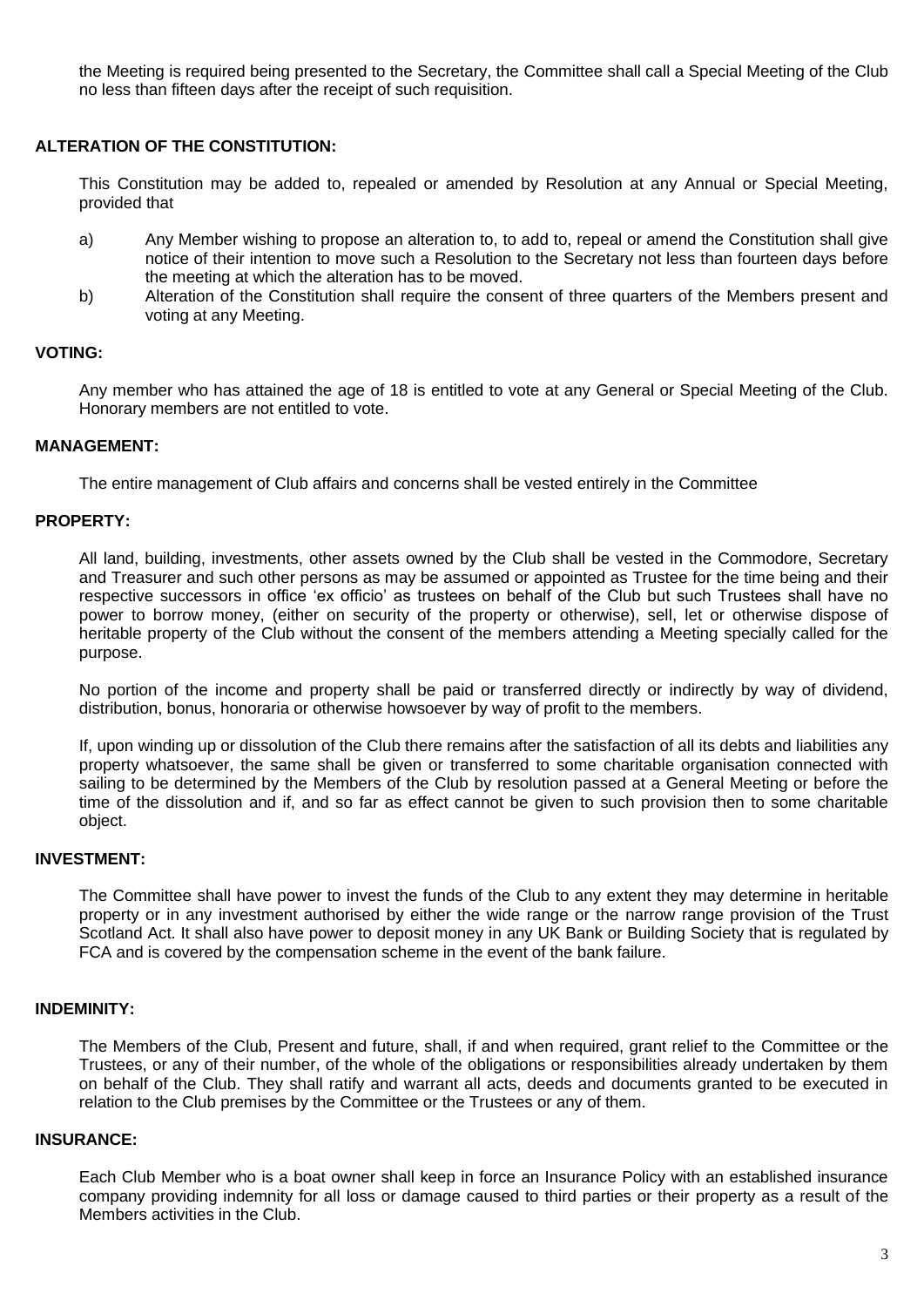the Meeting is required being presented to the Secretary, the Committee shall call a Special Meeting of the Club no less than fifteen days after the receipt of such requisition.

# **ALTERATION OF THE CONSTITUTION:**

This Constitution may be added to, repealed or amended by Resolution at any Annual or Special Meeting, provided that

- a) Any Member wishing to propose an alteration to, to add to, repeal or amend the Constitution shall give notice of their intention to move such a Resolution to the Secretary not less than fourteen days before the meeting at which the alteration has to be moved.
- b) Alteration of the Constitution shall require the consent of three quarters of the Members present and voting at any Meeting.

## **VOTING:**

Any member who has attained the age of 18 is entitled to vote at any General or Special Meeting of the Club. Honorary members are not entitled to vote.

#### **MANAGEMENT:**

The entire management of Club affairs and concerns shall be vested entirely in the Committee

# **PROPERTY:**

All land, building, investments, other assets owned by the Club shall be vested in the Commodore, Secretary and Treasurer and such other persons as may be assumed or appointed as Trustee for the time being and their respective successors in office 'ex officio' as trustees on behalf of the Club but such Trustees shall have no power to borrow money, (either on security of the property or otherwise), sell, let or otherwise dispose of heritable property of the Club without the consent of the members attending a Meeting specially called for the purpose.

No portion of the income and property shall be paid or transferred directly or indirectly by way of dividend, distribution, bonus, honoraria or otherwise howsoever by way of profit to the members.

If, upon winding up or dissolution of the Club there remains after the satisfaction of all its debts and liabilities any property whatsoever, the same shall be given or transferred to some charitable organisation connected with sailing to be determined by the Members of the Club by resolution passed at a General Meeting or before the time of the dissolution and if, and so far as effect cannot be given to such provision then to some charitable object.

#### **INVESTMENT:**

The Committee shall have power to invest the funds of the Club to any extent they may determine in heritable property or in any investment authorised by either the wide range or the narrow range provision of the Trust Scotland Act. It shall also have power to deposit money in any UK Bank or Building Society that is regulated by FCA and is covered by the compensation scheme in the event of the bank failure.

## **INDEMINITY:**

The Members of the Club, Present and future, shall, if and when required, grant relief to the Committee or the Trustees, or any of their number, of the whole of the obligations or responsibilities already undertaken by them on behalf of the Club. They shall ratify and warrant all acts, deeds and documents granted to be executed in relation to the Club premises by the Committee or the Trustees or any of them.

#### **INSURANCE:**

Each Club Member who is a boat owner shall keep in force an Insurance Policy with an established insurance company providing indemnity for all loss or damage caused to third parties or their property as a result of the Members activities in the Club.